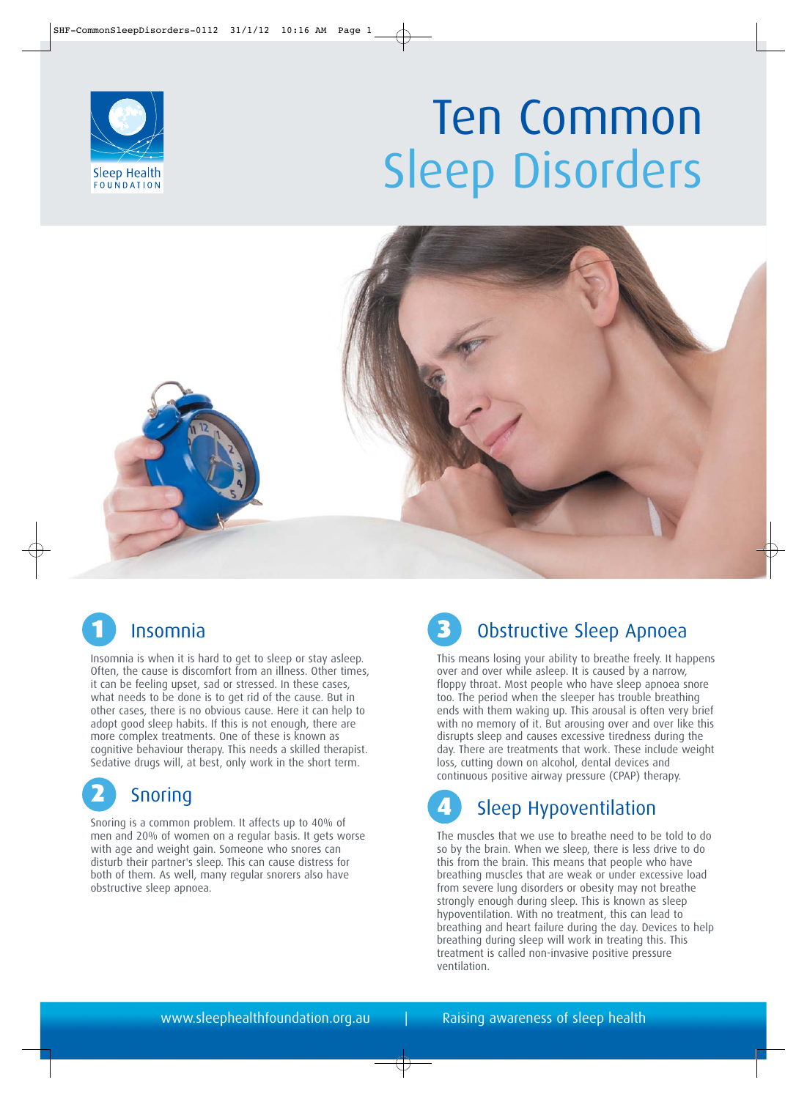





## **Insomnia**

Insomnia is when it is hard to get to sleep or stay asleep. Often, the cause is discomfort from an illness. Other times, it can be feeling upset, sad or stressed. In these cases, what needs to be done is to get rid of the cause. But in other cases, there is no obvious cause. Here it can help to adopt good sleep habits. If this is not enough, there are more complex treatments. One of these is known as cognitive behaviour therapy. This needs a skilled therapist. Sedative drugs will, at best, only work in the short term.



Snoring is a common problem. It affects up to 40% of men and 20% of women on a regular basis. It gets worse with age and weight gain. Someone who snores can disturb their partner's sleep. This can cause distress for both of them. As well, many regular snorers also have obstructive sleep apnoea.



#### Obstructive Sleep Apnoea

This means losing your ability to breathe freely. It happens over and over while asleep. It is caused by a narrow, floppy throat. Most people who have sleep apnoea snore too. The period when the sleeper has trouble breathing ends with them waking up. This arousal is often very brief with no memory of it. But arousing over and over like this disrupts sleep and causes excessive tiredness during the day. There are treatments that work. These include weight loss, cutting down on alcohol, dental devices and continuous positive airway pressure (CPAP) therapy.

# **Sleep Hypoventilation**

The muscles that we use to breathe need to be told to do so by the brain. When we sleep, there is less drive to do this from the brain. This means that people who have breathing muscles that are weak or under excessive load from severe lung disorders or obesity may not breathe strongly enough during sleep. This is known as sleep hypoventilation. With no treatment, this can lead to breathing and heart failure during the day. Devices to help breathing during sleep will work in treating this. This treatment is called non-invasive positive pressure ventilation.